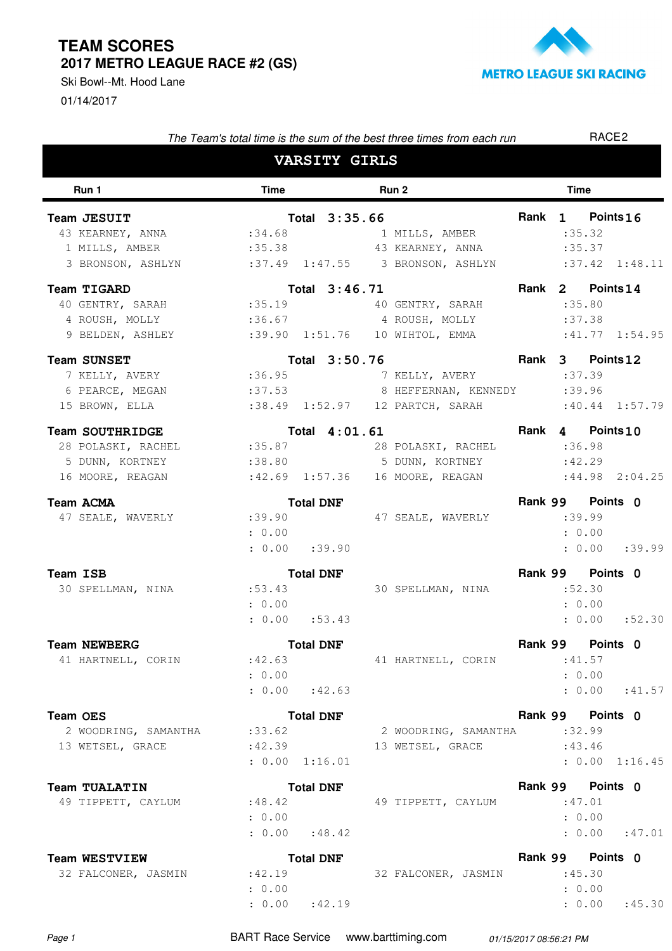01/14/2017 Ski Bowl--Mt. Hood Lane



|                                                                   | The Team's total time is the sum of the best three times from each run |                      |                                    |  | RACE <sub>2</sub>  |  |  |  |
|-------------------------------------------------------------------|------------------------------------------------------------------------|----------------------|------------------------------------|--|--------------------|--|--|--|
|                                                                   |                                                                        | <b>VARSITY GIRLS</b> |                                    |  |                    |  |  |  |
| Run 1                                                             | <b>Time</b>                                                            |                      | Run 2                              |  | <b>Time</b>        |  |  |  |
| Team JESUIT                                                       |                                                                        | Total 3:35.66        |                                    |  | Rank 1 Points 16   |  |  |  |
| 43 KEARNEY, ANNA                                                  |                                                                        |                      | :34.68 1 MILLS, AMBER              |  | :35.32             |  |  |  |
| 1 MILLS, AMBER                                                    |                                                                        |                      | :35.38 43 KEARNEY, ANNA :35.37     |  |                    |  |  |  |
| 3 BRONSON, ASHLYN :37.49 1:47.55 3 BRONSON, ASHLYN :37.42 1:48.11 |                                                                        |                      |                                    |  |                    |  |  |  |
| Team TIGARD                                                       |                                                                        | Total 3:46.71        |                                    |  | Rank 2 Points 14   |  |  |  |
| 40 GENTRY, SARAH :35.19 40 GENTRY, SARAH                          |                                                                        |                      |                                    |  | :35.80             |  |  |  |
| 4 ROUSH, MOLLY :36.67 4 ROUSH, MOLLY                              |                                                                        |                      |                                    |  | :37.38             |  |  |  |
| 9 BELDEN, ASHLEY                                                  |                                                                        |                      |                                    |  |                    |  |  |  |
| <b>Team SUNSET</b>                                                |                                                                        | Total 3:50.76        |                                    |  | Rank 3 Points 12   |  |  |  |
| 7 KELLY, AVERY :36.95                                             |                                                                        |                      | 7 KELLY, AVERY                     |  | :37.39             |  |  |  |
| 6 PEARCE, MEGAN                                                   |                                                                        |                      | :37.53 8 HEFFERNAN, KENNEDY :39.96 |  |                    |  |  |  |
| 15 BROWN, ELLA                                                    |                                                                        |                      |                                    |  |                    |  |  |  |
| Team SOUTHRIDGE                                                   |                                                                        | Total 4:01.61        |                                    |  | Rank 4 Points 10   |  |  |  |
| 28 POLASKI, RACHEL :35.87 28 POLASKI, RACHEL :36.98               |                                                                        |                      |                                    |  |                    |  |  |  |
| 5 DUNN, KORTNEY                                                   |                                                                        |                      | :38.80 5 DUNN, KORTNEY             |  | :42.29             |  |  |  |
| 16 MOORE, REAGAN                                                  |                                                                        |                      |                                    |  | $:44.98$ 2:04.25   |  |  |  |
| Team ACMA                                                         |                                                                        | <b>Total DNF</b>     |                                    |  | Rank 99 Points 0   |  |  |  |
| 47 SEALE, WAVERLY                                                 |                                                                        |                      | :39.90 47 SEALE, WAVERLY           |  | :39.99             |  |  |  |
|                                                                   | : 0.00                                                                 |                      |                                    |  | : 0.00             |  |  |  |
|                                                                   | $: 0.00$ $: 39.90$                                                     |                      |                                    |  | $: 0.00$ $: 39.99$ |  |  |  |
| Team ISB                                                          |                                                                        | <b>Total DNF</b>     |                                    |  | Rank 99 Points 0   |  |  |  |
| 30 SPELLMAN, NINA :53.43                                          |                                                                        |                      | 30 SPELLMAN, NINA                  |  | :52.30             |  |  |  |
|                                                                   | : 0.00                                                                 |                      |                                    |  | : 0.00             |  |  |  |
|                                                                   | $: 0.00$ $: 53.43$                                                     |                      |                                    |  | : 0.00 : 52.30     |  |  |  |
| <b>Team NEWBERG</b>                                               |                                                                        | <b>Total DNF</b>     |                                    |  | Rank 99 Points 0   |  |  |  |
| 41 HARTNELL, CORIN                                                |                                                                        |                      | :42.63 41 HARTNELL, CORIN          |  | :41.57             |  |  |  |
|                                                                   | : 0.00                                                                 |                      |                                    |  | : 0.00             |  |  |  |
|                                                                   | : 0.00 : 42.63                                                         |                      |                                    |  | $: 0.00$ : 41.57   |  |  |  |
| <b>Team OES</b>                                                   |                                                                        | <b>Total DNF</b>     |                                    |  | Rank 99 Points 0   |  |  |  |
| 2 WOODRING, SAMANTHA                                              | : 33.62                                                                |                      | 2 WOODRING, SAMANTHA :32.99        |  |                    |  |  |  |
| 13 WETSEL, GRACE                                                  |                                                                        |                      | :42.39 13 WETSEL, GRACE            |  | :43.46             |  |  |  |
|                                                                   | : 0.00 1:16.01                                                         |                      |                                    |  | : 0.00 1:16.45     |  |  |  |
| Team TUALATIN                                                     |                                                                        | <b>Total DNF</b>     |                                    |  | Rank 99 Points 0   |  |  |  |
| 49 TIPPETT, CAYLUM                                                | : 48.42                                                                |                      | 49 TIPPETT, CAYLUM                 |  | :47.01             |  |  |  |
|                                                                   | : 0.00                                                                 |                      |                                    |  | : 0.00             |  |  |  |
|                                                                   | $: 0.00$ : 48.42                                                       |                      |                                    |  | : 0.00 : 47.01     |  |  |  |
| <b>Team WESTVIEW</b>                                              |                                                                        | <b>Total DNF</b>     |                                    |  | Rank 99 Points 0   |  |  |  |
| 32 FALCONER, JASMIN                                               | :42.19                                                                 |                      | 32 FALCONER, JASMIN :45.30         |  |                    |  |  |  |
|                                                                   |                                                                        |                      |                                    |  |                    |  |  |  |

Page 1 **BART Race Service** www.barttiming.com 01/15/2017 08:56:21 PM

: 0.00

 $: 0.00$   $: 42.19$ 

 $: 42.19$  : 0.00 : 45.30

: 0.00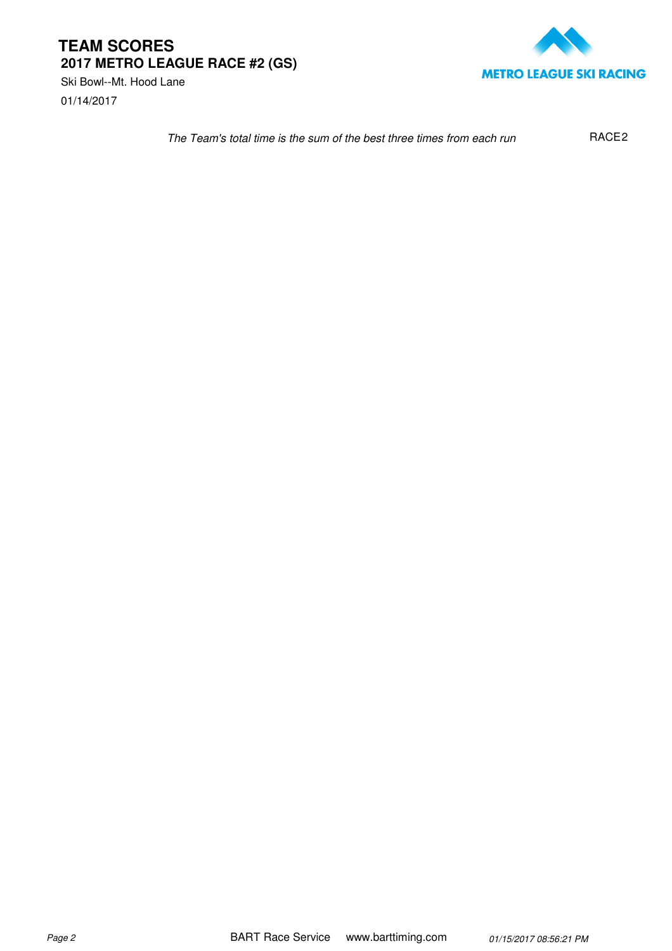01/14/2017 Ski Bowl--Mt. Hood Lane



The Team's total time is the sum of the best three times from each run RACE<sub>2</sub>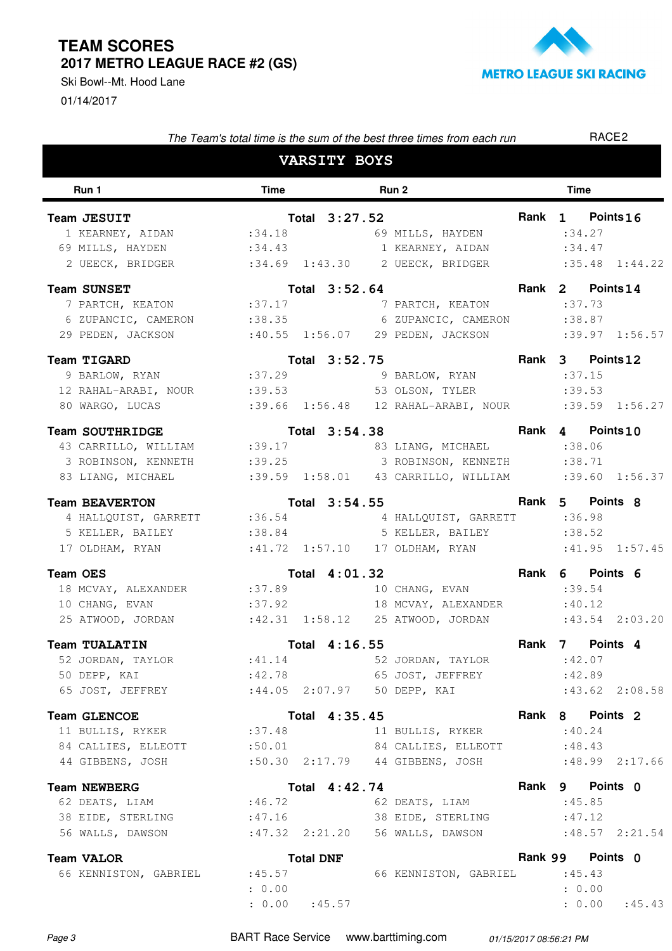01/14/2017 Ski Bowl--Mt. Hood Lane



| The Team's total time is the sum of the best three times from each run |               |                     |  |                                        |  | RACE <sub>2</sub> |                    |  |
|------------------------------------------------------------------------|---------------|---------------------|--|----------------------------------------|--|-------------------|--------------------|--|
|                                                                        |               | <b>VARSITY BOYS</b> |  |                                        |  |                   |                    |  |
| Run 1                                                                  | <b>Time</b>   |                     |  | Run 2                                  |  | <b>Time</b>       |                    |  |
| Team JESUIT                                                            | Total 3:27.52 |                     |  |                                        |  | Rank 1 Points 16  |                    |  |
| 1 KEARNEY, AIDAN :34.18 69 MILLS, HAYDEN                               |               |                     |  |                                        |  | : 34.27           |                    |  |
| 69 MILLS, HAYDEN : 34.43 1 KEARNEY, AIDAN                              |               |                     |  |                                        |  | : 34.47           |                    |  |
| 2 UEECK, BRIDGER :34.69 1:43.30 2 UEECK, BRIDGER                       |               |                     |  |                                        |  |                   | $:35.48$ $1:44.22$ |  |
| <b>Team SUNSET</b>                                                     |               | Total 3:52.64       |  |                                        |  |                   | Rank 2 Points 14   |  |
| 7 PARTCH, KEATON : 37.17                                               |               |                     |  | 7 PARTCH, KEATON : 37.73               |  |                   |                    |  |
| 6 ZUPANCIC, CAMERON : 38.35                                            |               |                     |  | 6 ZUPANCIC, CAMERON                    |  | : 38.87           |                    |  |
| 29 PEDEN, JACKSON                                                      |               |                     |  |                                        |  |                   |                    |  |
| <b>Team TIGARD</b>                                                     |               | Total 3:52.75       |  |                                        |  |                   | Rank 3 Points 12   |  |
| 9 BARLOW, RYAN :37.29                                                  |               |                     |  | 9 BARLOW, RYAN                         |  | :37.15            |                    |  |
| 12 RAHAL-ARABI, NOUR :39.53 53 OLSON, TYLER                            |               |                     |  |                                        |  | :39.53            |                    |  |
| 80 WARGO, LUCAS :39.66 1:56.48 12 RAHAL-ARABI, NOUR :39.59 1:56.27     |               |                     |  |                                        |  |                   |                    |  |
| <b>Team SOUTHRIDGE</b>                                                 |               | Total 3:54.38       |  |                                        |  |                   | Rank 4 Points 10   |  |
| 43 CARRILLO, WILLIAM :39.17                                            |               |                     |  | 83 LIANG, MICHAEL                      |  | : 38.06           |                    |  |
| 3 ROBINSON, KENNETH :39.25 3 ROBINSON, KENNETH                         |               |                     |  |                                        |  | : 38.71           |                    |  |
| 83 LIANG, MICHAEL :39.59 1:58.01 43 CARRILLO, WILLIAM :39.60 1:56.37   |               |                     |  |                                        |  |                   |                    |  |
| <b>Team BEAVERTON</b>                                                  |               |                     |  | Total 3:54.55                          |  |                   | Rank 5 Points 8    |  |
| 4 HALLQUIST, GARRETT :36.54 4 HALLQUIST, GARRETT :36.98                |               |                     |  |                                        |  |                   |                    |  |
| 5 KELLER, BAILEY :38.84 5 KELLER, BAILEY                               |               |                     |  |                                        |  | : 38.52           |                    |  |
| 17 OLDHAM, RYAN :41.72 1:57.10 17 OLDHAM, RYAN                         |               |                     |  |                                        |  |                   | $:41.95$ $1:57.45$ |  |
| <b>Team OES</b>                                                        |               | Total 4:01.32       |  | <b>Example 2018 19 Rank 6 Points 6</b> |  |                   |                    |  |
| 18 MCVAY, ALEXANDER :37.89                                             |               |                     |  | 10 CHANG, EVAN                         |  | :39.54            |                    |  |
| 10 CHANG, EVAN                                                         |               |                     |  | $:37.92$ 18 MCVAY, ALEXANDER           |  | :40.12            |                    |  |
| 25 ATWOOD, JORDAN :42.31 1:58.12 25 ATWOOD, JORDAN                     |               |                     |  |                                        |  |                   | $: 43.54$ 2:03.20  |  |
| Team TUALATIN                                                          | Total 4:16.55 |                     |  |                                        |  |                   | Rank 7 Points 4    |  |
| 52 JORDAN, TAYLOR : 41.14 52 JORDAN, TAYLOR                            |               |                     |  |                                        |  | :42.07            |                    |  |
| 50 DEPP, KAI                                                           |               |                     |  | $:42.78$ 65 JOST, JEFFREY              |  | :42.89            |                    |  |
| 65 JOST, JEFFREY :44.05 2:07.97 50 DEPP, KAI                           |               |                     |  |                                        |  |                   | $:43.62$ 2:08.58   |  |
| <b>Team GLENCOE</b>                                                    |               | Total 4:35.45       |  |                                        |  |                   | Rank 8 Points 2    |  |
| 11 BULLIS, RYKER :37.48                                                |               |                     |  | 11 BULLIS, RYKER                       |  | : 40.24           |                    |  |
| 84 CALLIES, ELLEOTT :50.01 84 CALLIES, ELLEOTT                         |               |                     |  |                                        |  | :48.43            |                    |  |
| 44 GIBBENS, JOSH                                                       |               |                     |  | :50.30 2:17.79 44 GIBBENS, JOSH        |  |                   | $:48.99$ 2:17.66   |  |
| <b>Team NEWBERG</b>                                                    |               | Total 4:42.74       |  |                                        |  |                   | Rank 9 Points 0    |  |
| 62 DEATS, LIAM :46.72 62 DEATS, LIAM                                   |               |                     |  |                                        |  | :45.85            |                    |  |
| 38 EIDE, STERLING : 47.16 38 EIDE, STERLING                            |               |                     |  |                                        |  | :47.12            |                    |  |
| 56 WALLS, DAWSON : 47.32 2:21.20 56 WALLS, DAWSON                      |               |                     |  |                                        |  |                   | $:48.57$ 2:21.54   |  |
| <b>Team VALOR</b>                                                      |               | <b>Total DNF</b>    |  |                                        |  |                   | Rank 99 Points 0   |  |
| 66 KENNISTON, GABRIEL :45.57                                           |               |                     |  | 66 KENNISTON, GABRIEL : 45.43          |  |                   |                    |  |
|                                                                        | : 0.00        |                     |  |                                        |  | : 0.00            |                    |  |

Page 3 BART Race Service www.barttiming.com 01/15/2017 08:56:21 PM

 $: 0.00$   $: 45.57$ 

: 45.57 : 0.00 : 45.43